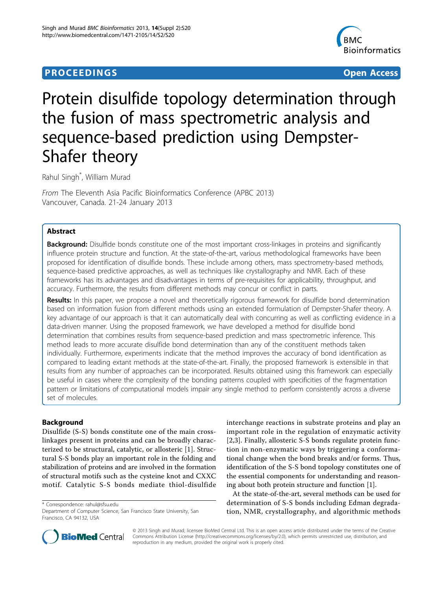## **PROCEEDINGS CONSUMING SCIENCE ACCESS**



# Protein disulfide topology determination through the fusion of mass spectrometric analysis and sequence-based prediction using Dempster-Shafer theory

Rahul Singh\* , William Murad

From The Eleventh Asia Pacific Bioinformatics Conference (APBC 2013) Vancouver, Canada. 21-24 January 2013

## Abstract

**Background:** Disulfide bonds constitute one of the most important cross-linkages in proteins and significantly influence protein structure and function. At the state-of-the-art, various methodological frameworks have been proposed for identification of disulfide bonds. These include among others, mass spectrometry-based methods, sequence-based predictive approaches, as well as techniques like crystallography and NMR. Each of these frameworks has its advantages and disadvantages in terms of pre-requisites for applicability, throughput, and accuracy. Furthermore, the results from different methods may concur or conflict in parts.

Results: In this paper, we propose a novel and theoretically rigorous framework for disulfide bond determination based on information fusion from different methods using an extended formulation of Dempster-Shafer theory. A key advantage of our approach is that it can automatically deal with concurring as well as conflicting evidence in a data-driven manner. Using the proposed framework, we have developed a method for disulfide bond determination that combines results from sequence-based prediction and mass spectrometric inference. This method leads to more accurate disulfide bond determination than any of the constituent methods taken individually. Furthermore, experiments indicate that the method improves the accuracy of bond identification as compared to leading extant methods at the state-of-the-art. Finally, the proposed framework is extensible in that results from any number of approaches can be incorporated. Results obtained using this framework can especially be useful in cases where the complexity of the bonding patterns coupled with specificities of the fragmentation pattern or limitations of computational models impair any single method to perform consistently across a diverse set of molecules.

## Background

Disulfide (S-S) bonds constitute one of the main crosslinkages present in proteins and can be broadly characterized to be structural, catalytic, or allosteric [[1\]](#page-12-0). Structural S-S bonds play an important role in the folding and stabilization of proteins and are involved in the formation of structural motifs such as the cysteine knot and CXXC motif. Catalytic S-S bonds mediate thiol-disulfide

\* Correspondence: [rahul@sfsu.edu](mailto:rahul@sfsu.edu)

interchange reactions in substrate proteins and play an important role in the regulation of enzymatic activity [[2,3](#page-12-0)]. Finally, allosteric S-S bonds regulate protein function in non-enzymatic ways by triggering a conformational change when the bond breaks and/or forms. Thus, identification of the S-S bond topology constitutes one of the essential components for understanding and reasoning about both protein structure and function [\[1](#page-12-0)].

At the state-of-the-art, several methods can be used for determination of S-S bonds including Edman degradation, NMR, crystallography, and algorithmic methods



© 2013 Singh and Murad; licensee BioMed Central Ltd. This is an open access article distributed under the terms of the Creative Commons Attribution License [\(http://creativecommons.org/licenses/by/2.0](http://creativecommons.org/licenses/by/2.0)), which permits unrestricted use, distribution, and reproduction in any medium, provided the original work is properly cited.

Department of Computer Science, San Francisco State University, San Francisco, CA 94132, USA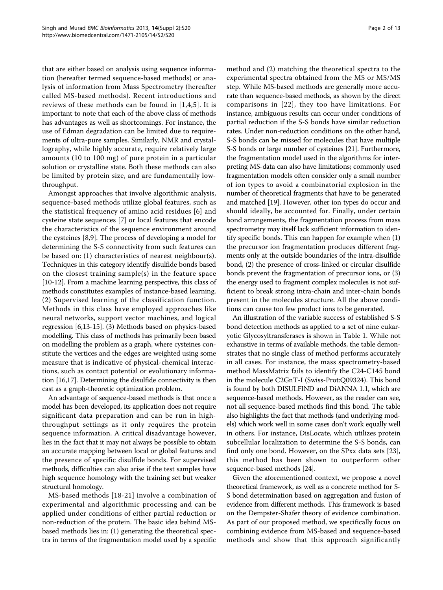that are either based on analysis using sequence information (hereafter termed sequence-based methods) or analysis of information from Mass Spectrometry (hereafter called MS-based methods). Recent introductions and reviews of these methods can be found in [[1,4](#page-12-0),[5\]](#page-12-0). It is important to note that each of the above class of methods has advantages as well as shortcomings. For instance, the use of Edman degradation can be limited due to requirements of ultra-pure samples. Similarly, NMR and crystallography, while highly accurate, require relatively large amounts (10 to 100 mg) of pure protein in a particular solution or crystalline state. Both these methods can also be limited by protein size, and are fundamentally lowthroughput.

Amongst approaches that involve algorithmic analysis, sequence-based methods utilize global features, such as the statistical frequency of amino acid residues [[6\]](#page-12-0) and cysteine state sequences [\[7\]](#page-12-0) or local features that encode the characteristics of the sequence environment around the cysteines [\[8,9](#page-12-0)]. The process of developing a model for determining the S-S connectivity from such features can be based on: (1) characteristics of nearest neighbour(s). Techniques in this category identify disulfide bonds based on the closest training sample(s) in the feature space [[10-12\]](#page-12-0). From a machine learning perspective, this class of methods constitutes examples of instance-based learning. (2) Supervised learning of the classification function. Methods in this class have employed approaches like neural networks, support vector machines, and logical regression [\[6,13-15](#page-12-0)]. (3) Methods based on physics-based modelling. This class of methods has primarily been based on modelling the problem as a graph, where cysteines constitute the vertices and the edges are weighted using some measure that is indicative of physical-chemical interactions, such as contact potential or evolutionary information [\[16,17\]](#page-12-0). Determining the disulfide connectivity is then cast as a graph-theoretic optimization problem.

An advantage of sequence-based methods is that once a model has been developed, its application does not require significant data preparation and can be run in highthroughput settings as it only requires the protein sequence information. A critical disadvantage however, lies in the fact that it may not always be possible to obtain an accurate mapping between local or global features and the presence of specific disulfide bonds. For supervised methods, difficulties can also arise if the test samples have high sequence homology with the training set but weaker structural homology.

MS-based methods [[18-21\]](#page-12-0) involve a combination of experimental and algorithmic processing and can be applied under conditions of either partial reduction or non-reduction of the protein. The basic idea behind MSbased methods lies in: (1) generating the theoretical spectra in terms of the fragmentation model used by a specific method and (2) matching the theoretical spectra to the experimental spectra obtained from the MS or MS/MS step. While MS-based methods are generally more accurate than sequence-based methods, as shown by the direct comparisons in [[22](#page-12-0)], they too have limitations. For instance, ambiguous results can occur under conditions of partial reduction if the S-S bonds have similar reduction rates. Under non-reduction conditions on the other hand, S-S bonds can be missed for molecules that have multiple S-S bonds or large number of cysteines [[21](#page-12-0)]. Furthermore, the fragmentation model used in the algorithms for interpreting MS-data can also have limitations; commonly used fragmentation models often consider only a small number of ion types to avoid a combinatorial explosion in the number of theoretical fragments that have to be generated and matched [\[19\]](#page-12-0). However, other ion types do occur and should ideally, be accounted for. Finally, under certain bond arrangements, the fragmentation process from mass spectrometry may itself lack sufficient information to identify specific bonds. This can happen for example when (1) the precursor ion fragmentation produces different fragments only at the outside boundaries of the intra-disulfide bond, (2) the presence of cross-linked or circular disulfide bonds prevent the fragmentation of precursor ions, or (3) the energy used to fragment complex molecules is not sufficient to break strong intra-chain and inter-chain bonds present in the molecules structure. All the above conditions can cause too few product ions to be generated.

An illustration of the variable success of established S-S bond detection methods as applied to a set of nine eukaryotic Glycosyltransferases is shown in Table [1](#page-2-0). While not exhaustive in terms of available methods, the table demonstrates that no single class of method performs accurately in all cases. For instance, the mass spectrometry-based method MassMatrix fails to identify the C24-C145 bond in the molecule C2GnT-I (Swiss-Prot:Q09324). This bond is found by both DISULFIND and DiANNA 1.1, which are sequence-based methods. However, as the reader can see, not all sequence-based methods find this bond. The table also highlights the fact that methods (and underlying models) which work well in some cases don't work equally well in others. For instance, DisLocate, which utilizes protein subcellular localization to determine the S-S bonds, can find only one bond. However, on the SPxx data sets [\[23](#page-12-0)], this method has been shown to outperform other sequence-based methods [[24](#page-12-0)].

Given the aforementioned context, we propose a novel theoretical framework, as well as a concrete method for S-S bond determination based on aggregation and fusion of evidence from different methods. This framework is based on the Dempster-Shafer theory of evidence combination. As part of our proposed method, we specifically focus on combining evidence from MS-based and sequence-based methods and show that this approach significantly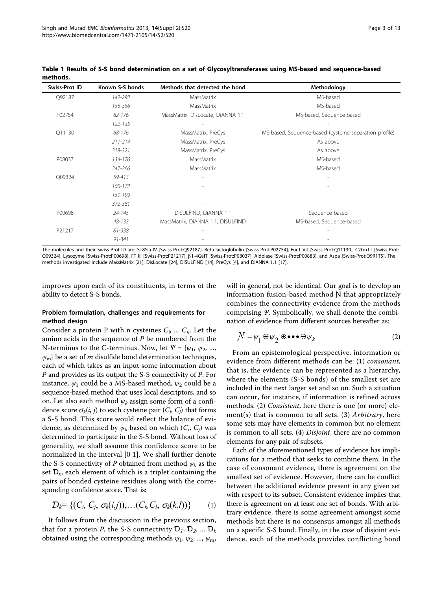| Swiss-Prot ID | Known S-S bonds | Methods that detected the bond    | Methodology                                            |
|---------------|-----------------|-----------------------------------|--------------------------------------------------------|
| Q92187        | 142-292         | MassMatrix                        | MS-based                                               |
|               | 156-356         | MassMatrix                        | MS-based                                               |
| P02754        | $82 - 176$      | MassMatrix, DisLocate, DiANNA 1.1 | MS-based, Sequence-based                               |
|               | $122 - 135$     |                                   |                                                        |
| Q11130        | 68-176          | MassMatrix, PreCys                | MS-based, Sequence-based (cysteine separation profile) |
|               | $211 - 214$     | MassMatrix, PreCys                | As above                                               |
|               | 318-321         | MassMatrix, PreCys                | As above                                               |
| P08037        | 134-176         | MassMatrix                        | MS-based                                               |
|               | 247-266         | MassMatrix                        | MS-based                                               |
| Q09324        | 59-413          |                                   |                                                        |
|               | 100-172         |                                   |                                                        |
|               | $151 - 199$     |                                   |                                                        |
|               | 372-381         |                                   |                                                        |
| P00698        | $24 - 145$      | DISULFIND, DIANNA 1.1             | Sequence-based                                         |
|               | $48 - 133$      | MassMatrix, DiANNA 1.1, DISULFIND | MS-based, Sequence-based                               |
| P21217        | 81-338          |                                   |                                                        |
|               | 91-341          |                                   |                                                        |

<span id="page-2-0"></span>Table 1 Results of S-S bond determination on a set of Glycosyltransferases using MS-based and sequence-based methods.

The molecules and their Swiss-Prot ID are: ST8Sia IV [Swiss-Prot:Q92187], Beta-lactoglobulin [Swiss-Prot:P02754], FucT VII [Swiss-Prot:Q11130], C2GnT-I [Swiss-Prot: Q09324], Lysozyme [Swiss-Prot:P00698], FT III [Swiss-Prot:P21217], b1-4GalT [Swiss-Prot:P08037], Aldolase [Swiss-Prot:P00883], and Aspa [Swiss-Prot:Q9R1T5]. The methods investigated include MassMatrix [\[21](#page-12-0)], DisLocate [\[24\]](#page-12-0), DISULFIND [\[14](#page-12-0)], PreCys [[4](#page-12-0)], and DiANNA 1.1 [\[17\]](#page-12-0).

improves upon each of its constituents, in terms of the ability to detect S-S bonds.

## Problem formulation, challenges and requirements for method design

Consider a protein P with n cysteines  $C_{\nu}$  ...  $C_{n}$ . Let the amino acids in the sequence of  $P$  be numbered from the N-terminus to the C-terminus. Now, let  $\Psi = {\psi_1, \psi_2, ...,}$  $\psi_{\rm m}$  be a set of *m* disulfide bond determination techniques, each of which takes as an input some information about P and provides as its output the S-S connectivity of P. For instance,  $\psi_1$  could be a MS-based method,  $\psi_2$  could be a sequence-based method that uses local descriptors, and so on. Let also each method  $\psi_k$  assign some form of a confidence score  $\sigma_k(i, j)$  to each cysteine pair  $(C_i, C_j)$  that forms<br>a S-S bond. This score would reflect the balance of evia S-S bond. This score would reflect the balance of evidence, as determined by  $\psi_k$  based on which  $(C_i, C_j)$  was determined to participate in the S-S bond. Without loss of generality, we shall assume this confidence score to be normalized in the interval [0 1]. We shall further denote the S-S connectivity of P obtained from method  $\psi_k$  as the set  $D_k$ , each element of which is a triplet containing the pairs of bonded cysteine residues along with the corresponding confidence score. That is:

$$
D_k = \{ (C_i, C_j, \sigma_k(i,j)), \dots (C_k, C_l, \sigma_k(k,l)) \} \qquad (1)
$$

It follows from the discussion in the previous section, that for a protein P, the S-S connectivity  $D_1$ ,  $D_2$ , ...  $D_k$ obtained using the corresponding methods  $\psi_1$ ,  $\psi_2$ , ...,  $\psi_m$ ,

will in general, not be identical. Our goal is to develop an information fusion-based method  $N$  that appropriately combines the connectivity evidence from the methods comprising Ψ. Symbolically, we shall denote the combination of evidence from different sources hereafter as:

$$
\mathcal{N} = \psi_1 \oplus \psi_2 \oplus \bullet \bullet \bullet \oplus \psi_k \tag{2}
$$

From an epistemological perspective, information or evidence from different methods can be: (1) consonant, that is, the evidence can be represented as a hierarchy, where the elements (S-S bonds) of the smallest set are included in the next larger set and so on. Such a situation can occur, for instance, if information is refined across methods. (2) Consistent, here there is one (or more) element(s) that is common to all sets. (3) Arbitrary, here some sets may have elements in common but no element is common to all sets. (4) *Disjoint*, there are no common elements for any pair of subsets.

Each of the aforementioned types of evidence has implications for a method that seeks to combine them. In the case of consonant evidence, there is agreement on the smallest set of evidence. However, there can be conflict between the additional evidence present in any given set with respect to its subset. Consistent evidence implies that there is agreement on at least one set of bonds. With arbitrary evidence, there is some agreement amongst some methods but there is no consensus amongst all methods on a specific S-S bond. Finally, in the case of disjoint evidence, each of the methods provides conflicting bond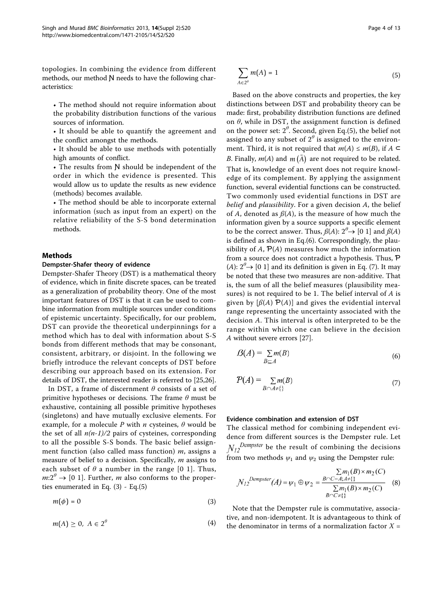topologies. In combining the evidence from different methods, our method  $N$  needs to have the following characteristics:

• The method should not require information about the probability distribution functions of the various sources of information.

• It should be able to quantify the agreement and the conflict amongst the methods.

• It should be able to use methods with potentially high amounts of conflict.

• The results from N should be independent of the order in which the evidence is presented. This would allow us to update the results as new evidence (methods) becomes available.

• The method should be able to incorporate external information (such as input from an expert) on the relative reliability of the S-S bond determination methods.

#### Methods

#### Dempster-Shafer theory of evidence

Dempster-Shafer Theory (DST) is a mathematical theory of evidence, which in finite discrete spaces, can be treated as a generalization of probability theory. One of the most important features of DST is that it can be used to combine information from multiple sources under conditions of epistemic uncertainty. Specifically, for our problem, DST can provide the theoretical underpinnings for a method which has to deal with information about S-S bonds from different methods that may be consonant, consistent, arbitrary, or disjoint. In the following we briefly introduce the relevant concepts of DST before describing our approach based on its extension. For details of DST, the interested reader is referred to [[25](#page-12-0),[26](#page-12-0)].

In DST, a frame of discernment  $\theta$  consists of a set of primitive hypotheses or decisions. The frame  $\theta$  must be exhaustive, containing all possible primitive hypotheses (singletons) and have mutually exclusive elements. For example, for a molecule P with n cysteines,  $\theta$  would be the set of all  $n(n-1)/2$  pairs of cysteines, corresponding to all the possible S-S bonds. The basic belief assignment function (also called mass function)  $m$ , assigns a measure of belief to a decision. Specifically, m assigns to each subset of  $\theta$  a number in the range [0 1]. Thus,  $m:2^{\theta} \rightarrow [0 \; 1]$ . Further, *m* also conforms to the properties enumerated in Eq.  $(3)$  - Eq. $(5)$ 

$$
m(\phi) = 0 \tag{3}
$$

$$
m(A) \geq 0, \ A \in 2^{\theta} \tag{4}
$$

$$
\sum_{A \in 2^{\theta}} m(A) = 1 \tag{5}
$$

Based on the above constructs and properties, the key distinctions between DST and probability theory can be made: first, probability distribution functions are defined on  $\theta$ , while in DST, the assignment function is defined on the power set:  $2^{\theta}$ . Second, given Eq.(5), the belief not assigned to any subset of  $2^{\theta}$  is assigned to the environment. Third, it is not required that  $m(A) \le m(B)$ , if  $A \subset$ B. Finally,  $m(A)$  and  $m(\overline{A})$  are not required to be related. That is, knowledge of an event does not require knowledge of its complement. By applying the assignment function, several evidential functions can be constructed. Two commonly used evidential functions in DST are belief and  $plausibility$ . For a given decision  $A$ , the belief of A, denoted as  $\beta(A)$ , is the measure of how much the information given by a source supports a specific element to be the correct answer. Thus,  $\hat{\beta}(A)$ :  $2^{\theta} \rightarrow [0 \ 1]$  and  $\beta(A)$ <br>is defined as shown in Eq. (6). Correspondingly, the planis defined as shown in Eq.(6). Correspondingly, the plausibility of  $A$ ,  $P(A)$  measures how much the information from a source does not contradict a hypothesis. Thus, P  $(A)$ :  $2^{\theta} \rightarrow [0 \ 1]$  and its definition is given in Eq. (7). It may be noted that these two measures are non-additive. That be noted that these two measures are non-additive. That is, the sum of all the belief measures (plausibility measures) is not required to be 1. The belief interval of A is given by  $\lceil \mathcal{B}(A) \, \mathbf{P}(A) \rceil$  and gives the evidential interval range representing the uncertainty associated with the decision A. This interval is often interpreted to be the range within which one can believe in the decision A without severe errors [[27\]](#page-12-0).

$$
B(A) = \sum_{B \subseteq A} m(B) \tag{6}
$$

$$
P(A) = \sum_{B \cap A \neq \{\}} m(B) \tag{7}
$$

## Evidence combination and extension of DST

The classical method for combining independent evidence from different sources is the Dempster rule. Let  $N_{12}^{Dempster}$  be the result of combining the decisions from two methods  $\psi_1$  and  $\psi_2$  using the Dempster rule:

$$
N_{12}^{Dempster}(A) = \psi_1 \oplus \psi_2 = \frac{\sum m_1(B) \times m_2(C)}{\sum m_1(B) \times m_2(C)}
$$
 (8)

Note that the Dempster rule is commutative, associative, and non-idempotent. It is advantageous to think of the denominator in terms of a normalization factor  $X =$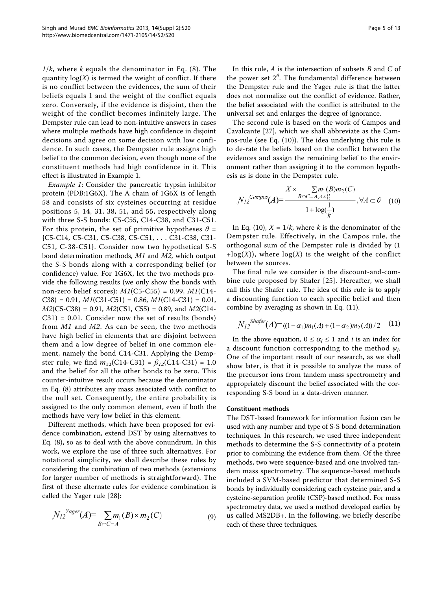$1/k$ , where k equals the denominator in Eq. (8). The quantity  $log(X)$  is termed the weight of conflict. If there is no conflict between the evidences, the sum of their beliefs equals 1 and the weight of the conflict equals zero. Conversely, if the evidence is disjoint, then the weight of the conflict becomes infinitely large. The Dempster rule can lead to non-intuitive answers in cases where multiple methods have high confidence in disjoint decisions and agree on some decision with low confidence. In such cases, the Dempster rule assigns high belief to the common decision, even though none of the constituent methods had high confidence in it. This effect is illustrated in Example 1.

Example 1: Consider the pancreatic trypsin inhibitor protein (PDB:1G6X). The A chain of 1G6X is of length 58 and consists of six cysteines occurring at residue positions 5, 14, 31, 38, 51, and 55, respectively along with three S-S bonds: C5-C55, C14-C38, and C31-C51. For this protein, the set of primitive hypotheses  $\theta$  = {C5-C14, C5-C31, C5-C38, C5-C51, . . . C31-C38, C31- C51, C-38-C51}. Consider now two hypothetical S-S bond determination methods, M1 and M2, which output the S-S bonds along with a corresponding belief (or confidence) value. For 1G6X, let the two methods provide the following results (we only show the bonds with non-zero belief scores):  $MI(C5-C55) = 0.99$ ,  $MI(C14 (C38) = 0.91, M1(C31-C51) = 0.86, M1(C14-C31) = 0.01,$  $M2(C5-C38) = 0.91, M2(C51, C55) = 0.89,$  and  $M2(C14-C3)$  $C31$ ) = 0.01. Consider now the set of results (bonds) from M1 and M2. As can be seen, the two methods have high belief in elements that are disjoint between them and a low degree of belief in one common element, namely the bond C14-C31. Applying the Dempster rule, we find  $m_{12}(C14-C31) = \beta_{12}(C14-C31) = 1.0$ and the belief for all the other bonds to be zero. This counter-intuitive result occurs because the denominator in Eq. (8) attributes any mass associated with conflict to the null set. Consequently, the entire probability is assigned to the only common element, even if both the methods have very low belief in this element.

Different methods, which have been proposed for evidence combination, extend DST by using alternatives to Eq. (8), so as to deal with the above conundrum. In this work, we explore the use of three such alternatives. For notational simplicity, we shall describe these rules by considering the combination of two methods (extensions for larger number of methods is straightforward). The first of these alternate rules for evidence combination is called the Yager rule [\[28\]](#page-12-0):

$$
N_{12}^{Yager}(A) = \sum_{B \cap C = A} m_1(B) \times m_2(C) \tag{9}
$$

In this rule,  $A$  is the intersection of subsets  $B$  and  $C$  of the power set  $2^{\theta}$ . The fundamental difference between the Dempster rule and the Yager rule is that the latter does not normalize out the conflict of evidence. Rather, the belief associated with the conflict is attributed to the universal set and enlarges the degree of ignorance.

The second rule is based on the work of Campos and Cavalcante [[27\]](#page-12-0), which we shall abbreviate as the Campos-rule (see Eq. (10)). The idea underlying this rule is to de-rate the beliefs based on the conflict between the evidences and assign the remaining belief to the environment rather than assigning it to the common hypothesis as is done in the Dempster rule.

$$
N_{12}^{Campos}(A) = \frac{X \times \sum m_1(B)m_2(C)}{B \cap C = A, A \neq \{\}}}, \forall A \subset \theta \quad (10)
$$
  

$$
\frac{1 + \log(\frac{1}{k})}{1 + \log(\frac{1}{k})}, \forall A \subset \theta
$$

In Eq. (10),  $X = 1/k$ , where k is the denominator of the Dempster rule. Effectively, in the Campos rule, the orthogonal sum of the Dempster rule is divided by (1  $+log(X)$ , where  $log(X)$  is the weight of the conflict between the sources.

The final rule we consider is the discount-and-combine rule proposed by Shafer [[25\]](#page-12-0). Hereafter, we shall call this the Shafer rule. The idea of this rule is to apply a discounting function to each specific belief and then combine by averaging as shown in Eq. (11).

$$
N_{12}^{Shafer}(A) = ((1 - \alpha_1)m_1(A) + (1 - \alpha_2)m_2(A))/2 \quad (11)
$$

In the above equation,  $0 \leq \alpha_i \leq 1$  and *i* is an index for a discount function corresponding to the method  $\psi_i$ . One of the important result of our research, as we shall show later, is that it is possible to analyze the mass of the precursor ions from tandem mass spectrometry and appropriately discount the belief associated with the corresponding S-S bond in a data-driven manner.

#### Constituent methods

The DST-based framework for information fusion can be used with any number and type of S-S bond determination techniques. In this research, we used three independent methods to determine the S-S connectivity of a protein prior to combining the evidence from them. Of the three methods, two were sequence-based and one involved tandem mass spectrometry. The sequence-based methods included a SVM-based predictor that determined S-S bonds by individually considering each cysteine pair, and a cysteine-separation profile (CSP)-based method. For mass spectrometry data, we used a method developed earlier by us called MS2DB+. In the following, we briefly describe each of these three techniques.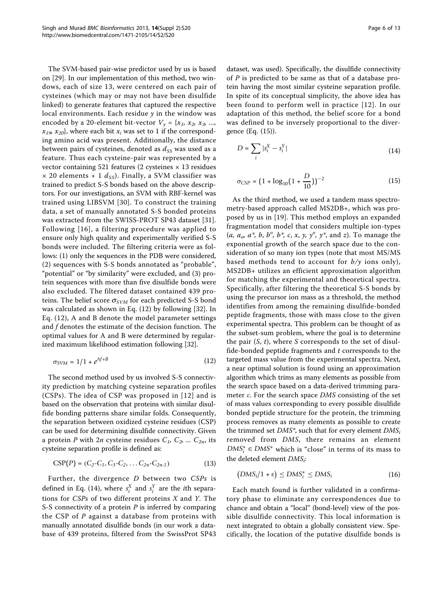The SVM-based pair-wise predictor used by us is based on [\[29](#page-12-0)]. In our implementation of this method, two windows, each of size 13, were centered on each pair of cysteines (which may or may not have been disulfide linked) to generate features that captured the respective local environments. Each residue  $y$  in the window was encoded by a 20-element bit-vector  $V_y = \{x_1, x_2, x_3, \ldots\}$  $x_{19}$ ,  $x_{20}$ , where each bit  $x_i$  was set to 1 if the corresponding amino acid was present. Additionally, the distance between pairs of cysteines, denoted as  $d_{SS}$  was used as a feature. Thus each cysteine-pair was represented by a vector containing 521 features (2 cysteines  $\times$  13 residues  $\times$  20 elements + 1  $d_{SS}$ ). Finally, a SVM classifier was trained to predict S-S bonds based on the above descriptors. For our investigations, an SVM with RBF-kernel was trained using LIBSVM [[30](#page-12-0)]. To construct the training data, a set of manually annotated S-S bonded proteins was extracted from the SWISS-PROT SP43 dataset [[31](#page-12-0)]. Following [[16\]](#page-12-0), a filtering procedure was applied to ensure only high quality and experimentally verified S-S bonds were included. The filtering criteria were as follows: (1) only the sequences in the PDB were considered, (2) sequences with S-S bonds annotated as "probable", "potential" or "by similarity" were excluded, and (3) protein sequences with more than five disulfide bonds were also excluded. The filtered dataset contained 439 proteins. The belief score  $\sigma_{SVM}$  for each predicted S-S bond was calculated as shown in Eq. (12) by following [[32](#page-12-0)]. In Eq. (12), A and B denote the model parameter settings and f denotes the estimate of the decision function. The optimal values for A and B were determined by regularized maximum likelihood estimation following [\[32](#page-12-0)].

$$
\sigma_{\text{SVM}} = 1/1 + e^{Af+B} \tag{12}
$$

The second method used by us involved S-S connectivity prediction by matching cysteine separation profiles (CSPs). The idea of CSP was proposed in [[12\]](#page-12-0) and is based on the observation that proteins with similar disulfide bonding patterns share similar folds. Consequently, the separation between oxidized cysteine residues (CSP) can be used for determining disulfide connectivity. Given a protein P with  $2n$  cysteine residues  $C_1$ ,  $C_2$ ,  $C_{2n}$ , its cysteine separation profile is defined as:

$$
CSP(P) = (C_2 - C_1, C_3 - C_2, \dots C_{2n} - C_{2n-1})
$$
\n(13)

Further, the divergence  $D$  between two CSPs is defined in Eq. (14), where  $s_i^X$  and  $s_i^Y$  are the *i*th separations for  $CSPs$  of two different proteins  $X$  and  $Y$ . The S-S connectivity of a protein  $P$  is inferred by comparing the CSP of P against a database from proteins with manually annotated disulfide bonds (in our work a database of 439 proteins, filtered from the SwissProt SP43 dataset, was used). Specifically, the disulfide connectivity of  $P$  is predicted to be same as that of a database protein having the most similar cysteine separation profile. In spite of its conceptual simplicity, the above idea has been found to perform well in practice [[12](#page-12-0)]. In our adaptation of this method, the belief score for a bond was defined to be inversely proportional to the divergence (Eq. (15)).

$$
D = \sum_{i} |s_i^X - s_i^Y| \tag{14}
$$

$$
\sigma_{CSP} = (1 + \log_{10}(1 + \frac{D}{10}))^{-2}
$$
 (15)

As the third method, we used a tandem mass spectrometry-based approach called MS2DB+, which was proposed by us in [[19](#page-12-0)]. This method employs an expanded fragmentation model that considers multiple ion-types  $(a, a_o, a^*, b, b^o, b^*, c, x, y, y^o, y^*, \text{ and } z)$ . To manage the exponential growth of the search space due to the consideration of so many ion types (note that most MS/MS based methods tend to account for  $b/y$  ions only), MS2DB+ utilizes an efficient approximation algorithm for matching the experimental and theoretical spectra. Specifically, after filtering the theoretical S-S bonds by using the precursor ion mass as a threshold, the method identifies from among the remaining disulfide-bonded peptide fragments, those with mass close to the given experimental spectra. This problem can be thought of as the subset-sum problem, where the goal is to determine the pair  $(S, t)$ , where S corresponds to the set of disulfide-bonded peptide fragments and  $t$  corresponds to the targeted mass value from the experimental spectra. Next, a near optimal solution is found using an approximation algorithm which trims as many elements as possible from the search space based on a data-derived trimming parameter  $\varepsilon$ . For the search space DMS consisting of the set of mass values corresponding to every possible disulfide bonded peptide structure for the protein, the trimming process removes as many elements as possible to create the trimmed set  $DMS^*$ , such that for every element  $DMS_i$ removed from DMS, there remains an element *DMS*∗ *<sup>i</sup>* ∈ *DMS*<sup>∗</sup> which is "close" in terms of its mass to the deleted element  $DMS_i$ :

$$
(DMSi/1 + \varepsilon) \leq DMSi \leq DMSi
$$
 (16)

Each match found is further validated in a confirmatory phase to eliminate any correspondences due to chance and obtain a "local" (bond-level) view of the possible disulfide connectivity. This local information is next integrated to obtain a globally consistent view. Specifically, the location of the putative disulfide bonds is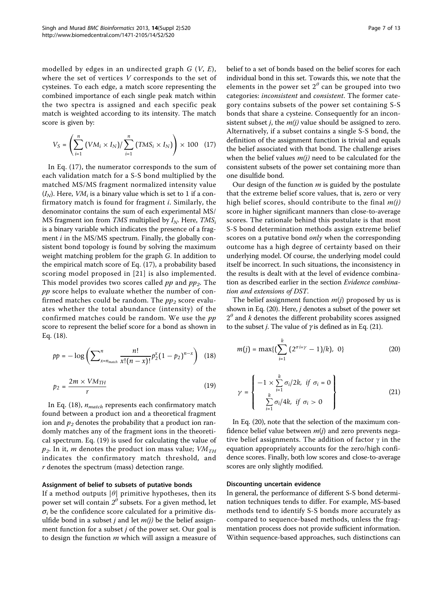modelled by edges in an undirected graph  $G$  (V, E), where the set of vertices V corresponds to the set of cysteines. To each edge, a match score representing the combined importance of each single peak match within the two spectra is assigned and each specific peak match is weighted according to its intensity. The match score is given by:

$$
V_S = \left(\sum_{i=1}^n (VM_i \times I_N) / \sum_{i=1}^n (TMS_i \times I_N) \right) \times 100 \quad (17)
$$

In Eq. (17), the numerator corresponds to the sum of each validation match for a S-S bond multiplied by the matched MS/MS fragment normalized intensity value  $(I_N)$ . Here,  $VM_i$  is a binary value which is set to 1 if a confirmatory match is found for fragment i. Similarly, the denominator contains the sum of each experimental MS/ MS fragment ion from TMS multiplied by  $I_N$ . Here, TMS<sub>i</sub> is a binary variable which indicates the presence of a fragment  $i$  in the MS/MS spectrum. Finally, the globally consistent bond topology is found by solving the maximum weight matching problem for the graph G. In addition to the empirical match score of Eq. (17), a probability based scoring model proposed in [[21\]](#page-12-0) is also implemented. This model provides two scores called  $pp$  and  $pp_2$ . The pp score helps to evaluate whether the number of confirmed matches could be random. The  $pp_2$  score evaluates whether the total abundance (intensity) of the confirmed matches could be random. We use the  $pp$ score to represent the belief score for a bond as shown in Eq. (18).

$$
pp = -\log\left(\sum_{x=n_{match}}^n \frac{n!}{x!(n-x)!} p_2^x (1-p_2)^{n-x}\right) (18)
$$

$$
p_2 = \frac{2m \times VM_{TH}}{r}
$$
 (19)

In Eq. (18),  $n_{match}$  represents each confirmatory match found between a product ion and a theoretical fragment ion and  $p_2$  denotes the probability that a product ion randomly matches any of the fragment ions in the theoretical spectrum. Eq. (19) is used for calculating the value of  $p_2$ . In it, *m* denotes the product ion mass value;  $VM_{TH}$ indicates the confirmatory match threshold, and r denotes the spectrum (mass) detection range.

#### Assignment of belief to subsets of putative bonds

If a method outputs  $|\theta|$  primitive hypotheses, then its power set will contain  $2^{\theta}$  subsets. For a given method, let  $\sigma_i$  be the confidence score calculated for a primitive disulfide bond in a subset *j* and let  $m(j)$  be the belief assignment function for a subset  $j$  of the power set. Our goal is to design the function  $m$  which will assign a measure of belief to a set of bonds based on the belief scores for each individual bond in this set. Towards this, we note that the elements in the power set  $2^{\theta}$  can be grouped into two categories: inconsistent and consistent. The former category contains subsets of the power set containing S-S bonds that share a cysteine. Consequently for an inconsistent subset *j*, the  $m(j)$  value should be assigned to zero. Alternatively, if a subset contains a single S-S bond, the definition of the assignment function is trivial and equals the belief associated with that bond. The challenge arises when the belief values  $m(j)$  need to be calculated for the consistent subsets of the power set containing more than one disulfide bond.

Our design of the function  $m$  is guided by the postulate that the extreme belief score values, that is, zero or very high belief scores, should contribute to the final  $m(i)$ score in higher significant manners than close-to-average scores. The rationale behind this postulate is that most S-S bond determination methods assign extreme belief scores on a putative bond *only* when the corresponding outcome has a high degree of certainty based on their underlying model. Of course, the underlying model could itself be incorrect. In such situations, the inconsistency in the results is dealt with at the level of evidence combination as described earlier in the section Evidence combination and extensions of DST.

The belief assignment function  $m(j)$  proposed by us is shown in Eq. (20). Here, j denotes a subset of the power set  $2^{\theta}$  and *k* denotes the different probability scores assigned to the subset *j*. The value of  $\gamma$  is defined as in Eq. (21).

$$
m(j) = \max\{(\sum_{i=1}^{k} (2^{\sigma i + \gamma} - 1)/k), 0\}
$$
 (20)

$$
\gamma = \left\{ \begin{array}{l} -1 \times \sum_{i=1}^{k} \sigma_i / 2k, \text{ if } \sigma_i = 0 \\ \sum_{i=1}^{k} \sigma_i / 4k, \text{ if } \sigma_i > 0 \end{array} \right\} \tag{21}
$$

In Eq. (20), note that the selection of the maximum confidence belief value between  $m(j)$  and zero prevents negative belief assignments. The addition of factor  $\gamma$  in the equation appropriately accounts for the zero/high confidence scores. Finally, both low scores and close-to-average scores are only slightly modified.

#### Discounting uncertain evidence

In general, the performance of different S-S bond determination techniques tends to differ. For example, MS-based methods tend to identify S-S bonds more accurately as compared to sequence-based methods, unless the fragmentation process does not provide sufficient information. Within sequence-based approaches, such distinctions can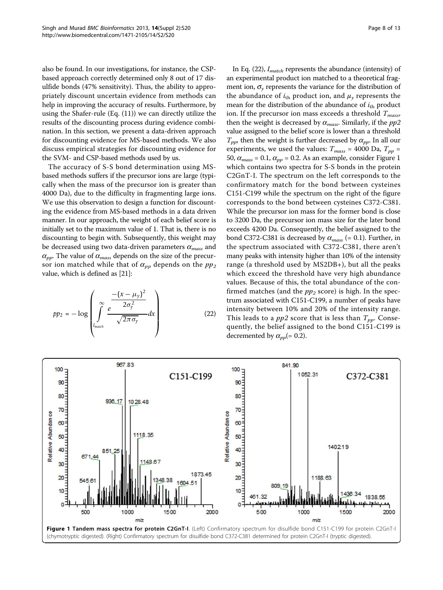also be found. In our investigations, for instance, the CSPbased approach correctly determined only 8 out of 17 disulfide bonds (47% sensitivity). Thus, the ability to appropriately discount uncertain evidence from methods can help in improving the accuracy of results. Furthermore, by using the Shafer-rule (Eq. (11)) we can directly utilize the results of the discounting process during evidence combination. In this section, we present a data-driven approach for discounting evidence for MS-based methods. We also discuss empirical strategies for discounting evidence for the SVM- and CSP-based methods used by us.

The accuracy of S-S bond determination using MSbased methods suffers if the precursor ions are large (typically when the mass of the precursor ion is greater than 4000 Da), due to the difficulty in fragmenting large ions. We use this observation to design a function for discounting the evidence from MS-based methods in a data driven manner. In our approach, the weight of each belief score is initially set to the maximum value of 1. That is, there is no discounting to begin with. Subsequently, this weight may be decreased using two data-driven parameters  $\alpha_{mass}$  and  $\alpha_{\text{pp}}$ . The value of  $\alpha_{\text{mass}}$  depends on the size of the precursor ion matched while that of  $\alpha_{pp}$  depends on the  $pp_2$ value, which is defined as [\[21\]](#page-12-0):

$$
pp_2 = -\log\left(\int_{l_{match}}^{\infty} \frac{\frac{-(x-\mu_y)^2}{2\sigma_y^2}}{\sqrt{2\pi\sigma_y}} dx\right)
$$
 (22)

In Eq. (22),  $I_{match}$  represents the abundance (intensity) of an experimental product ion matched to a theoretical fragment ion,  $\sigma_{\nu}$  represents the variance for the distribution of the abundance of  $i_{\text{th}}$  product ion, and  $\mu_{\nu}$  represents the mean for the distribution of the abundance of  $i_{\text{th}}$  product ion. If the precursor ion mass exceeds a threshold  $T_{mass}$ then the weight is decreased by  $\alpha_{mass}$ . Similarly, if the  $pp2$ value assigned to the belief score is lower than a threshold  $T_{pp}$ , then the weight is further decreased by  $\alpha_{pp}$ . In all our experiments, we used the values:  $T_{mass}$  = 4000 Da,  $T_{pp}$  = 50,  $\alpha_{mass} = 0.1$ ,  $\alpha_{pp} = 0.2$ . As an example, consider Figure 1 which contains two spectra for S-S bonds in the protein C2GnT-I. The spectrum on the left corresponds to the confirmatory match for the bond between cysteines C151-C199 while the spectrum on the right of the figure corresponds to the bond between cysteines C372-C381. While the precursor ion mass for the former bond is close to 3200 Da, the precursor ion mass size for the later bond exceeds 4200 Da. Consequently, the belief assigned to the bond C372-C381 is decreased by  $\alpha_{mass}$  (= 0.1). Further, in the spectrum associated with C372-C381, there aren't many peaks with intensity higher than 10% of the intensity range (a threshold used by MS2DB+), but all the peaks which exceed the threshold have very high abundance values. Because of this, the total abundance of the confirmed matches (and the  $pp_2$  score) is high. In the spectrum associated with C151-C199, a number of peaks have intensity between 10% and 20% of the intensity range. This leads to a  $pp2$  score that is less than  $T_{pp}$ . Consequently, the belief assigned to the bond C151-C199 is decremented by  $\alpha_{pp}$ (= 0.2).

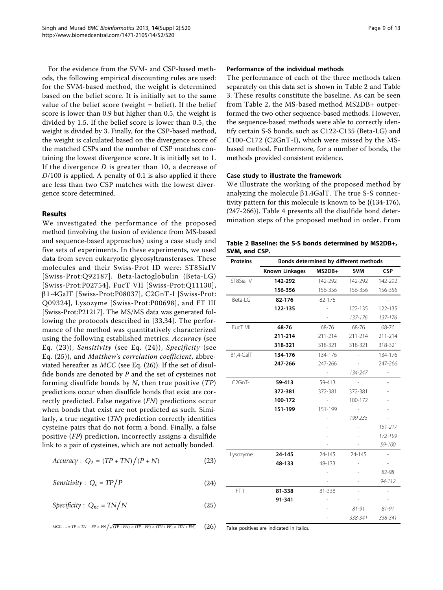<span id="page-8-0"></span>For the evidence from the SVM- and CSP-based methods, the following empirical discounting rules are used: for the SVM-based method, the weight is determined based on the belief score. It is initially set to the same value of the belief score (weight = belief). If the belief score is lower than 0.9 but higher than 0.5, the weight is divided by 1.5. If the belief score is lower than 0.5, the weight is divided by 3. Finally, for the CSP-based method, the weight is calculated based on the divergence score of the matched CSPs and the number of CSP matches containing the lowest divergence score. It is initially set to 1. If the divergence  $D$  is greater than 10, a decrease of D/100 is applied. A penalty of 0.1 is also applied if there are less than two CSP matches with the lowest divergence score determined.

## Results

We investigated the performance of the proposed method (involving the fusion of evidence from MS-based and sequence-based approaches) using a case study and five sets of experiments. In these experiments, we used data from seven eukaryotic glycosyltransferases. These molecules and their Swiss-Prot ID were: ST8SiaIV [Swiss-Prot:Q92187], Beta-lactoglobulin (Beta-LG) [Swiss-Prot:P02754], FucT VII [Swiss-Prot:Q11130], b1-4GalT [Swiss-Prot:P08037], C2GnT-I [Swiss-Prot: Q09324], Lysozyme [Swiss-Prot:P00698], and FT III [Swiss-Prot:P21217]. The MS/MS data was generated following the protocols described in [[33,34](#page-12-0)]. The performance of the method was quantitatively characterized using the following established metrics: Accuracy (see Eq. (23)), Sensitivity (see Eq. (24)), Specificity (see Eq. (25)), and Matthew's correlation coefficient, abbreviated hereafter as MCC (see Eq. (26)). If the set of disulfide bonds are denoted by  $P$  and the set of cysteines not forming disulfide bonds by  $N$ , then true positive  $(TP)$ predictions occur when disulfide bonds that exist are correctly predicted. False negative (FN) predictions occur when bonds that exist are not predicted as such. Similarly, a true negative (TN) prediction correctly identifies cysteine pairs that do not form a bond. Finally, a false positive (FP) prediction, incorrectly assigns a disulfide link to a pair of cysteines, which are not actually bonded.

$$
Accuracy: Q_2 = (TP + TN)/(P + N)
$$
 (23)

$$
Sensitivity: Q_c = TP/P
$$
 (24)

$$
Specificity: Q_{nc} = TN/N
$$
 (25)

$$
\text{MCC}: c = TP \times TN - FP \times FN / \sqrt{(TP + FN) \times (TP + FP) \times (TN + FP) \times (TN + FN)} \tag{26}
$$

#### Performance of the individual methods

The performance of each of the three methods taken separately on this data set is shown in Table 2 and Table [3.](#page-9-0) These results constitute the baseline. As can be seen from Table 2, the MS-based method MS2DB+ outperformed the two other sequence-based methods. However, the sequence-based methods were able to correctly identify certain S-S bonds, such as C122-C135 (Beta-LG) and C100-C172 (C2GnT-I), which were missed by the MSbased method. Furthermore, for a number of bonds, the methods provided consistent evidence.

#### Case study to illustrate the framework

We illustrate the working of the proposed method by analyzing the molecule  $\beta$ 1,4GalT. The true S-S connectivity pattern for this molecule is known to be {(134-176), (247-266)}. Table [4](#page-9-0) presents all the disulfide bond determination steps of the proposed method in order. From

|               |  | Table 2 Baseline: the S-S bonds determined by MS2DB+, |  |
|---------------|--|-------------------------------------------------------|--|
| SVM, and CSP. |  |                                                       |  |

| <b>Proteins</b>      | Bonds determined by different methods |         |                |            |  |  |
|----------------------|---------------------------------------|---------|----------------|------------|--|--|
|                      | Known Linkages                        | MS2DB+  | <b>SVM</b>     | <b>CSP</b> |  |  |
| ST8Sia IV            | 142-292                               | 142-292 | 142-292        | 142-292    |  |  |
|                      | 156-356                               | 156-356 | 156-356        | 156-356    |  |  |
| Beta-LG              | 82-176                                | 82-176  |                |            |  |  |
|                      | 122-135                               |         | 122-135        | 122-135    |  |  |
|                      |                                       |         | 137-176        | 137-176    |  |  |
| FucT VII             | 68-76                                 | 68-76   | 68-76          | 68-76      |  |  |
|                      | 211-214                               | 211-214 | 211-214        | 211-214    |  |  |
|                      | 318-321                               | 318-321 | 318-321        | 318-321    |  |  |
| B1,4-GalT            | 134-176                               | 134-176 | $\overline{a}$ | 134-176    |  |  |
|                      | 247-266                               | 247-266 |                | 247-266    |  |  |
|                      |                                       |         | 134-247        |            |  |  |
| C <sub>2</sub> GnT-I | 59-413                                | 59-413  |                |            |  |  |
|                      | 372-381                               | 372-381 | 372-381        |            |  |  |
|                      | 100-172                               |         | 100-172        |            |  |  |
|                      | 151-199                               | 151-199 |                |            |  |  |
|                      |                                       |         | 199-235        |            |  |  |
|                      |                                       |         |                | 151-217    |  |  |
|                      |                                       |         |                | 172-199    |  |  |
|                      |                                       |         |                | 59-100     |  |  |
| Lysozyme             | 24-145                                | 24-145  | 24-145         |            |  |  |
|                      | 48-133                                | 48-133  |                |            |  |  |
|                      |                                       |         |                | 82-98      |  |  |
|                      |                                       |         |                | 94-112     |  |  |
| FT III               | 81-338                                | 81-338  |                |            |  |  |
|                      | 91-341                                |         |                |            |  |  |
|                      |                                       |         | $81 - 91$      | 81-91      |  |  |
|                      |                                       |         | 338-341        | 338-341    |  |  |

False positives are indicated in italics.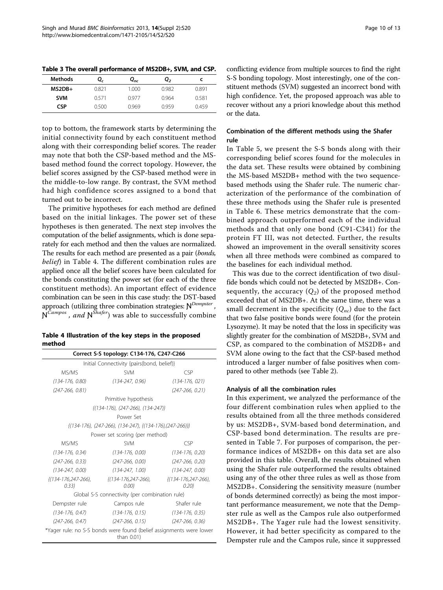| <b>Methods</b> | Q <sub>c</sub> | $Q_{nc}$ | Q,    |       |
|----------------|----------------|----------|-------|-------|
| $MS2DB+$       | 0.821          | 1.000    | 0.982 | 0.891 |
| <b>SVM</b>     | 0.571          | 0.977    | 0.964 | 0.581 |
| CSP            | 0.500          | 0.969    | 0.959 | 0.459 |

<span id="page-9-0"></span>Table 3 The overall performance of MS2DB+, SVM, and CSP.

top to bottom, the framework starts by determining the initial connectivity found by each constituent method along with their corresponding belief scores. The reader may note that both the CSP-based method and the MSbased method found the correct topology. However, the belief scores assigned by the CSP-based method were in the middle-to-low range. By contrast, the SVM method had high confidence scores assigned to a bond that turned out to be incorrect.

The primitive hypotheses for each method are defined based on the initial linkages. The power set of these hypotheses is then generated. The next step involves the computation of the belief assignments, which is done separately for each method and then the values are normalized. The results for each method are presented as a pair (bonds, belief) in Table 4. The different combination rules are applied once all the belief scores have been calculated for the bonds constituting the power set (for each of the three constituent methods). An important effect of evidence combination can be seen in this case study: the DST-based approach (utilizing three combination strategies:  $N^{Dempster}$ ,  $\overline{N}^{\tilde{C}ampos}$ , and  $N^{\tilde{S}haper}$ ) was able to successfully combine

| Table 4 Illustration of the key steps in the proposed |  |  |  |
|-------------------------------------------------------|--|--|--|
| method                                                |  |  |  |

| Correct S-S topology: C134-176, C247-C266 |                                                                                      |                     |  |  |  |
|-------------------------------------------|--------------------------------------------------------------------------------------|---------------------|--|--|--|
|                                           | Initial Connectivity {pairs(bond, belief)}                                           |                     |  |  |  |
| MS/MS                                     | <b>SVM</b>                                                                           | <b>CSP</b>          |  |  |  |
| $(134-176, 0.80)$                         | (134-247, 0.96)                                                                      | $(134-176, 021)$    |  |  |  |
| $(247-266, 0.81)$                         |                                                                                      | $(247-266, 0.21)$   |  |  |  |
|                                           | Primitive hypothesis                                                                 |                     |  |  |  |
|                                           | {(134-176), (247-266), (134-247)}                                                    |                     |  |  |  |
|                                           | Power Set                                                                            |                     |  |  |  |
|                                           | $\{(134-176), (247-266), (134-247), \{(134-176), (247-266)\}\}$                      |                     |  |  |  |
|                                           | Power set scoring (per method)                                                       |                     |  |  |  |
| MS/MS                                     | <b>SVM</b>                                                                           | <b>CSP</b>          |  |  |  |
| $(134-176. 0.34)$                         | (134-176, 0.00)                                                                      | $(134-176, 0.20)$   |  |  |  |
| $(247-266, 0.33)$                         | $(247-266, 0.00)$                                                                    | $(247-266, 0.20)$   |  |  |  |
| $(134 - 247, 0.00)$                       | $(134-247, 1.00)$                                                                    | $(134 - 247, 0.00)$ |  |  |  |
| 0.331                                     | $\{(134-176, 247-266),\$ $\{(134-176, 247-266),\$ $\{(134-176, 247-266),\}$<br>0.00  | 0.20                |  |  |  |
|                                           | Global S-S connectivity (per combination rule)                                       |                     |  |  |  |
| Dempster rule                             | Campos rule                                                                          | Shafer rule         |  |  |  |
| (134-176, 0.47)                           | $(134-176, 0.15)$ $(134-176, 0.35)$                                                  |                     |  |  |  |
| (247-266, 0.47)                           | (247-266, 0.15)                                                                      | $(247-266, 0.36)$   |  |  |  |
|                                           | *Yager rule: no S-S bonds were found (belief assignments were lower<br>than $0.01$ ) |                     |  |  |  |

Page 10 of 13

conflicting evidence from multiple sources to find the right S-S bonding topology. Most interestingly, one of the constituent methods (SVM) suggested an incorrect bond with high confidence. Yet, the proposed approach was able to recover without any a priori knowledge about this method or the data.

## Combination of the different methods using the Shafer rule

In Table [5,](#page-10-0) we present the S-S bonds along with their corresponding belief scores found for the molecules in the data set. These results were obtained by combining the MS-based MS2DB+ method with the two sequencebased methods using the Shafer rule. The numeric characterization of the performance of the combination of these three methods using the Shafer rule is presented in Table [6](#page-10-0). These metrics demonstrate that the combined approach outperformed each of the individual methods and that only one bond (C91-C341) for the protein FT III, was not detected. Further, the results showed an improvement in the overall sensitivity scores when all three methods were combined as compared to the baselines for each individual method.

This was due to the correct identification of two disulfide bonds which could not be detected by MS2DB+. Consequently, the accuracy  $(Q_2)$  of the proposed method exceeded that of MS2DB+. At the same time, there was a small decrement in the specificity  $(Q_{nc})$  due to the fact that two false positive bonds were found (for the protein Lysozyme). It may be noted that the loss in specificity was slightly greater for the combination of MS2DB+, SVM and CSP, as compared to the combination of MS2DB+ and SVM alone owing to the fact that the CSP-based method introduced a larger number of false positives when compared to other methods (see Table [2](#page-8-0)).

## Analysis of all the combination rules

In this experiment, we analyzed the performance of the four different combination rules when applied to the results obtained from all the three methods considered by us: MS2DB+, SVM-based bond determination, and CSP-based bond determination. The results are presented in Table [7](#page-10-0). For purposes of comparison, the performance indices of MS2DB+ on this data set are also provided in this table. Overall, the results obtained when using the Shafer rule outperformed the results obtained using any of the other three rules as well as those from MS2DB+. Considering the sensitivity measure (number of bonds determined correctly) as being the most important performance measurement, we note that the Dempster rule as well as the Campos rule also outperformed MS2DB+. The Yager rule had the lowest sensitivity. However, it had better specificity as compared to the Dempster rule and the Campos rule, since it suppressed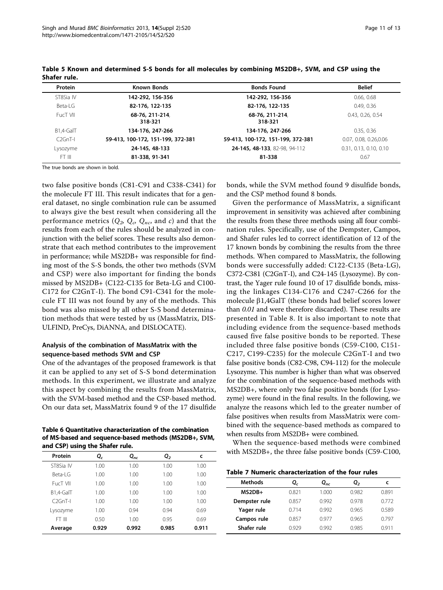| Protein   | <b>Known Bonds</b>                | <b>Bonds Found</b>                | <b>Belief</b>          |
|-----------|-----------------------------------|-----------------------------------|------------------------|
| ST8Sia IV | 142-292, 156-356                  | 142-292, 156-356                  | 0.66, 0.68             |
| Beta-LG   | 82-176, 122-135                   | 82-176, 122-135                   | 0.49, 0.36             |
| FucT VII  | 68-76, 211-214.<br>318-321        | 68-76, 211-214,<br>318-321        | 0.43, 0.26, 0.54       |
| B1,4-GalT | 134-176, 247-266                  | 134-176, 247-266                  | 0.35, 0.36             |
| $C2GnT-I$ | 59-413, 100-172, 151-199, 372-381 | 59-413, 100-172, 151-199, 372-381 | 0.07, 0.08, 0.26,0.06  |
| Lysozyme  | 24-145, 48-133                    | 24-145, 48-133, 82-98, 94-112     | 0.31, 0.13, 0.10, 0.10 |
| FT III    | 81-338, 91-341                    | 81-338                            | 0.67                   |

<span id="page-10-0"></span>Table 5 Known and determined S-S bonds for all molecules by combining MS2DB+, SVM, and CSP using the Shafer rule.

The true bonds are shown in bold.

two false positive bonds (C81-C91 and C338-C341) for the molecule FT III. This result indicates that for a general dataset, no single combination rule can be assumed to always give the best result when considering all the performance metrics  $(Q_2, Q_{\sigma}, Q_{nc},$  and c) and that the results from each of the rules should be analyzed in conjunction with the belief scores. These results also demonstrate that each method contributes to the improvement in performance; while MS2DB+ was responsible for finding most of the S-S bonds, the other two methods (SVM and CSP) were also important for finding the bonds missed by MS2DB+ (C122-C135 for Beta-LG and C100- C172 for C2GnT-I). The bond C91-C341 for the molecule FT III was not found by any of the methods. This bond was also missed by all other S-S bond determination methods that were tested by us (MassMatrix, DIS-ULFIND, PreCys, DiANNA, and DISLOCATE).

## Analysis of the combination of MassMatrix with the sequence-based methods SVM and CSP

One of the advantages of the proposed framework is that it can be applied to any set of S-S bond determination methods. In this experiment, we illustrate and analyze this aspect by combining the results from MassMatrix, with the SVM-based method and the CSP-based method. On our data set, MassMatrix found 9 of the 17 disulfide

Table 6 Quantitative characterization of the combination of MS-based and sequence-based methods (MS2DB+, SVM, and CSP) using the Shafer rule.

| Protein   | $Q_c$ | $Q_{nc}$ | $Q_2$ | c     |
|-----------|-------|----------|-------|-------|
| ST8Sia IV | 1.00  | 1.00     | 1.00  | 1.00  |
| Beta-LG   | 1.00  | 1.00     | 1.00  | 1.00  |
| FucT VII  | 1.00  | 1.00     | 1.00  | 1.00  |
| B1,4-GalT | 1.00  | 1.00     | 1.00  | 1.00  |
| $C2GnT-I$ | 1.00  | 1.00     | 1.00  | 1.00  |
| Lysozyme  | 1.00  | 0.94     | 0.94  | 0.69  |
| FT III    | 0.50  | 1.00     | 0.95  | 0.69  |
| Average   | 0.929 | 0.992    | 0.985 | 0.911 |

bonds, while the SVM method found 9 disulfide bonds, and the CSP method found 8 bonds.

Given the performance of MassMatrix, a significant improvement in sensitivity was achieved after combining the results from these three methods using all four combination rules. Specifically, use of the Dempster, Campos, and Shafer rules led to correct identification of 12 of the 17 known bonds by combining the results from the three methods. When compared to MassMatrix, the following bonds were successfully added: C122-C135 (Beta-LG), C372-C381 (C2GnT-I), and C24-145 (Lysozyme). By contrast, the Yager rule found 10 of 17 disulfide bonds, missing the linkages C134-C176 and C247-C266 for the molecule  $\beta$ 1,4GalT (these bonds had belief scores lower than 0.01 and were therefore discarded). These results are presented in Table [8.](#page-11-0) It is also important to note that including evidence from the sequence-based methods caused five false positive bonds to be reported. These included three false positive bonds (C59-C100, C151- C217, C199-C235) for the molecule C2GnT-I and two false positive bonds (C82-C98, C94-112) for the molecule Lysozyme. This number is higher than what was observed for the combination of the sequence-based methods with MS2DB+, where only two false positive bonds (for Lysozyme) were found in the final results. In the following, we analyze the reasons which led to the greater number of false positives when results from MassMatrix were combined with the sequence-based methods as compared to when results from MS2DB+ were combined.

When the sequence-based methods were combined with MS2DB+, the three false positive bonds (C59-C100,

|  |  | Table 7 Numeric characterization of the four rules |  |  |  |  |
|--|--|----------------------------------------------------|--|--|--|--|
|--|--|----------------------------------------------------|--|--|--|--|

| <b>Methods</b> | Q,    | $Q_{nc}$ | Q,    | c     |  |  |  |
|----------------|-------|----------|-------|-------|--|--|--|
| $MS2DB+$       | 0.821 | 1.000    | 0.982 | 0.891 |  |  |  |
| Dempster rule  | 0.857 | 0.992    | 0.978 | 0.772 |  |  |  |
| Yager rule     | 0714  | 0.992    | 0.965 | 0.589 |  |  |  |
| Campos rule    | 0.857 | 0.977    | 0.965 | 0.797 |  |  |  |
| Shafer rule    | በ 929 | 0.992    | 0.985 | 0911  |  |  |  |
|                |       |          |       |       |  |  |  |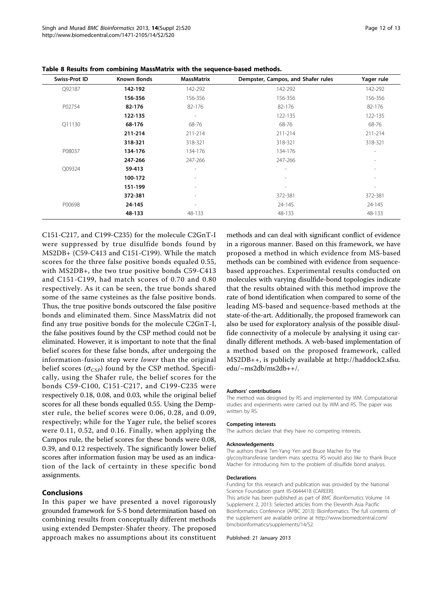| Swiss-Prot ID | <b>Known Bonds</b> | <b>MassMatrix</b>        | Dempster, Campos, and Shafer rules | Yager rule               |
|---------------|--------------------|--------------------------|------------------------------------|--------------------------|
| Q92187        | 142-192            | 142-292                  | 142-292                            | 142-292                  |
|               | 156-356            | 156-356                  | 156-356                            | 156-356                  |
| P02754        | 82-176             | 82-176                   | 82-176                             | 82-176                   |
|               | 122-135            | $\overline{\phantom{a}}$ | 122-135                            | 122-135                  |
| Q11130        | 68-176             | 68-76                    | 68-76                              | 68-76                    |
|               | 211-214            | 211-214                  | 211-214                            | $211 - 214$              |
|               | 318-321            | 318-321                  | 318-321                            | 318-321                  |
| P08037        | 134-176            | 134-176                  | 134-176                            | $\overline{\phantom{a}}$ |
|               | 247-266            | 247-266                  | 247-266                            | $\overline{\phantom{a}}$ |
| Q09324        | 59-413             | $\overline{\phantom{a}}$ | $\sim$                             | $\overline{\phantom{a}}$ |
|               | 100-172            | ۰                        |                                    | $\overline{\phantom{a}}$ |
|               | 151-199            | $\overline{\phantom{0}}$ | $\overline{\phantom{a}}$           | $\overline{\phantom{a}}$ |
|               | 372-381            | ۰                        | 372-381                            | 372-381                  |
| P00698        | 24-145             | ۰                        | 24-145                             | 24-145                   |
|               | 48-133             | 48-133                   | 48-133                             | 48-133                   |

<span id="page-11-0"></span>Table 8 Results from combining MassMatrix with the sequence-based methods.

C151-C217, and C199-C235) for the molecule C2GnT-I were suppressed by true disulfide bonds found by MS2DB+ (C59-C413 and C151-C199). While the match scores for the three false positive bonds equaled 0.55, with MS2DB+, the two true positive bonds C59-C413 and C151-C199, had match scores of 0.70 and 0.80 respectively. As it can be seen, the true bonds shared some of the same cysteines as the false positive bonds. Thus, the true positive bonds outscored the false positive bonds and eliminated them. Since MassMatrix did not find any true positive bonds for the molecule C2GnT-I, the false positives found by the CSP method could not be eliminated. However, it is important to note that the final belief scores for these false bonds, after undergoing the information-fusion step were lower than the original belief scores ( $\sigma_{CSP}$ ) found by the CSP method. Specifically, using the Shafer rule, the belief scores for the bonds C59-C100, C151-C217, and C199-C235 were respectively 0.18, 0.08, and 0.03, while the original belief scores for all these bonds equalled 0.55. Using the Dempster rule, the belief scores were 0.06, 0.28, and 0.09, respectively; while for the Yager rule, the belief scores were 0.11, 0.52, and 0.16. Finally, when applying the Campos rule, the belief scores for these bonds were 0.08, 0.39, and 0.12 respectively. The significantly lower belief scores after information fusion may be used as an indication of the lack of certainty in these specific bond assignments.

## Conclusions

In this paper we have presented a novel rigorously grounded framework for S-S bond determination based on combining results from conceptually different methods using extended Dempster-Shafer theory. The proposed approach makes no assumptions about its constituent

methods and can deal with significant conflict of evidence in a rigorous manner. Based on this framework, we have proposed a method in which evidence from MS-based methods can be combined with evidence from sequencebased approaches. Experimental results conducted on molecules with varying disulfide-bond topologies indicate that the results obtained with this method improve the rate of bond identification when compared to some of the leading MS-based and sequence-based methods at the state-of-the-art. Additionally, the proposed framework can also be used for exploratory analysis of the possible disulfide connectivity of a molecule by analysing it using cardinally different methods. A web-based implementation of a method based on the proposed framework, called MS2DB++, is publicly available at [http://haddock2.sfsu.](http://haddock2.sfsu.edu/~ms2db/ms2db++/) [edu/~ms2db/ms2db++/.](http://haddock2.sfsu.edu/~ms2db/ms2db++/)

#### Authors' contributions

The method was designed by RS and implemented by WM. Computational studies and experiments were carried out by WM and RS. The paper was written by RS.

#### Competing interests

The authors declare that they have no competing interests.

#### Acknowledgements

The authors thank Ten-Yang Yen and Bruce Macher for the glycosyltransferase tandem mass spectra. RS would also like to thank Bruce Macher for introducing him to the problem of disulfide bond analysis.

#### Declarations

Funding for this research and publication was provided by the National Science Foundation grant IIS-0644418 (CAREER).

This article has been published as part of BMC Bioinformatics Volume 14 Supplement 2, 2013: Selected articles from the Eleventh Asia Pacific Bioinformatics Conference (APBC 2013): Bioinformatics. The full contents of the supplement are available online at [http://www.biomedcentral.com/](http://www.biomedcentral.com/bmcbioinformatics/supplements/14/S2) [bmcbioinformatics/supplements/14/S2.](http://www.biomedcentral.com/bmcbioinformatics/supplements/14/S2)

#### Published: 21 January 2013